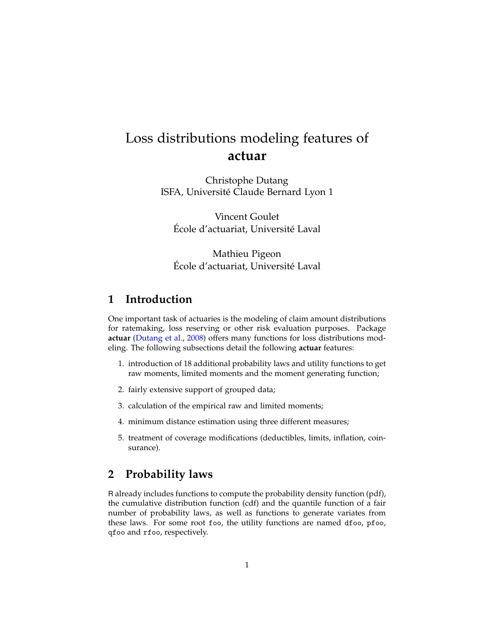# Loss distributions modeling features of **actuar**

Christophe Dutang ISFA, Université Claude Bernard Lyon 1

Vincent Goulet École d'actuariat, Université Laval

Mathieu Pigeon École d'actuariat, Université Laval

# **1 Introduction**

One important task of actuaries is the modeling of claim amount distributions for ratemaking, loss reserving or other risk evaluation purposes. Package **actuar** [\(Dutang et al.,](#page-14-0) [2008\)](#page-14-0) offers many functions for loss distributions modeling. The following subsections detail the following **actuar** features:

- 1. introduction of 18 additional probability laws and utility functions to get raw moments, limited moments and the moment generating function;
- 2. fairly extensive support of grouped data;
- 3. calculation of the empirical raw and limited moments;
- 4. minimum distance estimation using three different measures;
- 5. treatment of coverage modifications (deductibles, limits, inflation, coinsurance).

# **2 Probability laws**

R already includes functions to compute the probability density function (pdf), the cumulative distribution function (cdf) and the quantile function of a fair number of probability laws, as well as functions to generate variates from these laws. For some root foo, the utility functions are named dfoo, pfoo, qfoo and rfoo, respectively.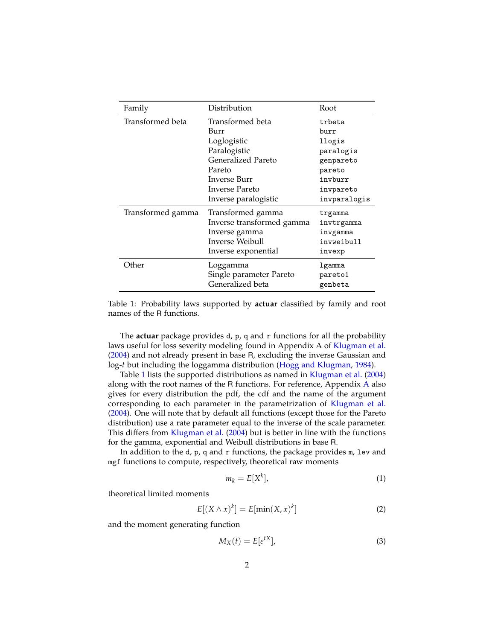| Family            | Distribution              | Root         |
|-------------------|---------------------------|--------------|
| Transformed beta  | Transformed beta          | trbeta       |
|                   | Burr                      | burr         |
|                   | Loglogistic               | llogis       |
|                   | Paralogistic              | paralogis    |
|                   | <b>Generalized Pareto</b> | genpareto    |
|                   | Pareto                    | pareto       |
|                   | Inverse Burr              | invburr      |
|                   | Inverse Pareto            | invpareto    |
|                   | Inverse paralogistic      | invparalogis |
| Transformed gamma | Transformed gamma         | trgamma      |
|                   | Inverse transformed gamma | invtrgamma   |
|                   | Inverse gamma             | invgamma     |
|                   | <b>Inverse Weibull</b>    | invweibull   |
|                   | Inverse exponential       | invexp       |
| Other             | Loggamma                  | lgamma       |
|                   | Single parameter Pareto   | pareto1      |
|                   | Generalized beta          | genbeta      |

<span id="page-1-0"></span>Table 1: Probability laws supported by **actuar** classified by family and root names of the R functions.

The **actuar** package provides d, p, q and r functions for all the probability laws useful for loss severity modeling found in Appendix A of [Klugman et al.](#page-14-1) [\(2004\)](#page-14-1) and not already present in base R, excluding the inverse Gaussian and log-*t* but including the loggamma distribution [\(Hogg and Klugman,](#page-14-2) [1984\)](#page-14-2).

Table [1](#page-1-0) lists the supported distributions as named in [Klugman et al.](#page-14-1) [\(2004\)](#page-14-1) along with the root names of the R functions. For reference, Appendix [A](#page-14-3) also gives for every distribution the pdf, the cdf and the name of the argument corresponding to each parameter in the parametrization of [Klugman et al.](#page-14-1) [\(2004\)](#page-14-1). One will note that by default all functions (except those for the Pareto distribution) use a rate parameter equal to the inverse of the scale parameter. This differs from [Klugman et al.](#page-14-1) [\(2004\)](#page-14-1) but is better in line with the functions for the gamma, exponential and Weibull distributions in base R.

In addition to the  $d$ ,  $p$ ,  $q$  and  $r$  functions, the package provides  $m$ , lev and mgf functions to compute, respectively, theoretical raw moments

$$
m_k = E[X^k],\tag{1}
$$

theoretical limited moments

$$
E[(X \wedge x)^k] = E[\min(X, x)^k]
$$
 (2)

and the moment generating function

$$
M_X(t) = E[e^{tX}], \tag{3}
$$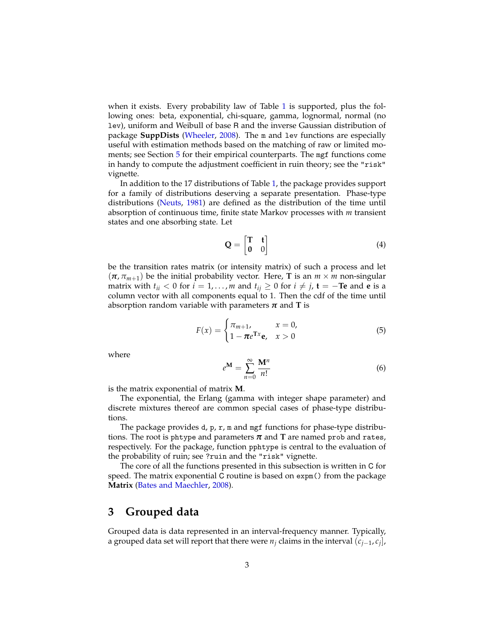when it exists. Every probability law of Table [1](#page-1-0) is supported, plus the following ones: beta, exponential, chi-square, gamma, lognormal, normal (no lev), uniform and Weibull of base R and the inverse Gaussian distribution of package **SuppDists** [\(Wheeler,](#page-14-4) [2008\)](#page-14-4). The m and lev functions are especially useful with estimation methods based on the matching of raw or limited moments; see Section [5](#page-8-0) for their empirical counterparts. The mgf functions come in handy to compute the adjustment coefficient in ruin theory; see the "risk" vignette.

In addition to the 17 distributions of Table [1,](#page-1-0) the package provides support for a family of distributions deserving a separate presentation. Phase-type distributions [\(Neuts,](#page-14-5) [1981\)](#page-14-5) are defined as the distribution of the time until absorption of continuous time, finite state Markov processes with *m* transient states and one absorbing state. Let

$$
\mathbf{Q} = \begin{bmatrix} \mathbf{T} & \mathbf{t} \\ \mathbf{0} & 0 \end{bmatrix} \tag{4}
$$

be the transition rates matrix (or intensity matrix) of such a process and let  $(\pi, \pi_{m+1})$  be the initial probability vector. Here, **T** is an  $m \times m$  non-singular matrix with  $t_{ii} < 0$  for  $i = 1, ..., m$  and  $t_{ij} \ge 0$  for  $i \ne j$ ,  $\mathbf{t} = -\mathbf{T}\mathbf{e}$  and  $\mathbf{e}$  is a column vector with all components equal to 1. Then the cdf of the time until absorption random variable with parameters  $\pi$  and **T** is

$$
F(x) = \begin{cases} \pi_{m+1}, & x = 0, \\ 1 - \pi e^{\text{Tx}} \mathbf{e}, & x > 0 \end{cases}
$$
(5)

where

$$
e^{\mathbf{M}} = \sum_{n=0}^{\infty} \frac{\mathbf{M}^n}{n!}
$$
 (6)

is the matrix exponential of matrix **M**.

The exponential, the Erlang (gamma with integer shape parameter) and discrete mixtures thereof are common special cases of phase-type distributions.

The package provides d, p, r, m and mgf functions for phase-type distributions. The root is phtype and parameters  $\pi$  and  $T$  are named prob and rates, respectively. For the package, function pphtype is central to the evaluation of the probability of ruin; see ?ruin and the "risk" vignette.

The core of all the functions presented in this subsection is written in C for speed. The matrix exponential C routine is based on expm() from the package **Matrix** [\(Bates and Maechler,](#page-14-6) [2008\)](#page-14-6).

### **3 Grouped data**

Grouped data is data represented in an interval-frequency manner. Typically, a grouped data set will report that there were *n<sup>j</sup>* claims in the interval (*cj*−<sup>1</sup> , *cj* ],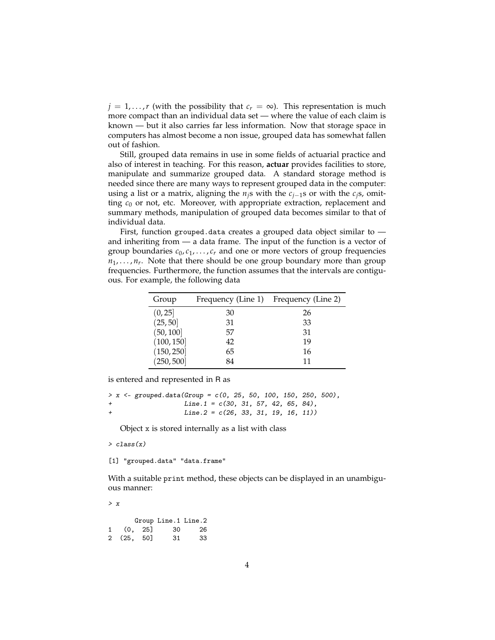$j = 1, \ldots, r$  (with the possibility that  $c_r = \infty$ ). This representation is much more compact than an individual data set — where the value of each claim is known — but it also carries far less information. Now that storage space in computers has almost become a non issue, grouped data has somewhat fallen out of fashion.

Still, grouped data remains in use in some fields of actuarial practice and also of interest in teaching. For this reason, **actuar** provides facilities to store, manipulate and summarize grouped data. A standard storage method is needed since there are many ways to represent grouped data in the computer: using a list or a matrix, aligning the *nj*s with the *cj*−1s or with the *cj*s, omitting  $c_0$  or not, etc. Moreover, with appropriate extraction, replacement and summary methods, manipulation of grouped data becomes similar to that of individual data.

First, function grouped.data creates a grouped data object similar to and inheriting from — a data frame. The input of the function is a vector of group boundaries  $c_0, c_1, \ldots, c_r$  and one or more vectors of group frequencies *n*1, . . . , *n<sup>r</sup>* . Note that there should be one group boundary more than group frequencies. Furthermore, the function assumes that the intervals are contiguous. For example, the following data

| Group      | Frequency (Line 1) | Frequency (Line 2) |
|------------|--------------------|--------------------|
| (0, 25)    | 30                 | 26                 |
| (25, 50)   | 31                 | 33                 |
| (50, 100]  | 57                 | 31                 |
| (100, 150] | 42                 | 19                 |
| (150, 250] | 65                 | 16                 |
| (250, 500] | 84                 | 11                 |

is entered and represented in R as

```
> x < - grouped.data(Group = c(0, 25, 50, 100, 150, 250, 500),
                 Line.1 = c(30, 31, 57, 42, 65, 84),+ Line.2 = c(26, 33, 31, 19, 16, 11))
```
Object x is stored internally as a list with class

> class(x)

[1] "grouped.data" "data.frame"

With a suitable print method, these objects can be displayed in an unambiguous manner:

> x

|            | Group Line.1 Line.2 |     |
|------------|---------------------|-----|
| 1 (0, 25]  | -30                 | -26 |
| 2 (25, 50] | 31                  | 33  |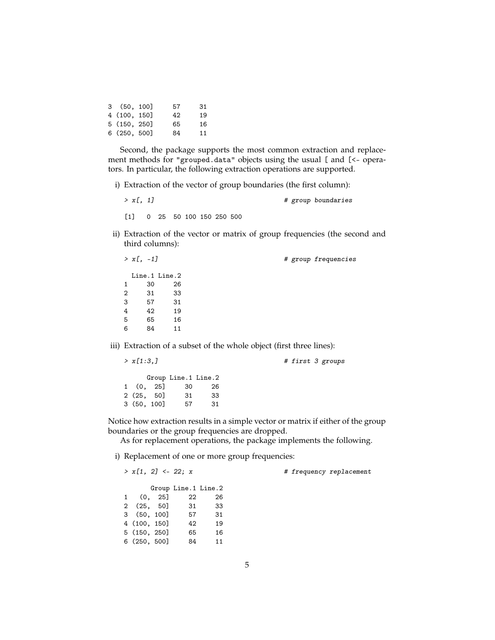| 3(50, 100)   | 57 | 31 |
|--------------|----|----|
| 4 (100, 150] | 42 | 19 |
| 5 (150, 250) | 65 | 16 |
| 6(250, 500)  | 84 | 11 |
|              |    |    |

Second, the package supports the most common extraction and replacement methods for "grouped.data" objects using the usual [ and [<- operators. In particular, the following extraction operations are supported.

i) Extraction of the vector of group boundaries (the first column):

 $> x$ [, 1]  $\qquad \qquad \qquad \#$  group boundaries

[1] 0 25 50 100 150 250 500

ii) Extraction of the vector or matrix of group frequencies (the second and third columns):

| $> x[-1]$ |               |                                                                      | # group frequencies |
|-----------|---------------|----------------------------------------------------------------------|---------------------|
|           | Line.1 Line.2 |                                                                      |                     |
| 1         | 30            | 26                                                                   |                     |
| 2         | 31            | 33                                                                   |                     |
| 3         | 57            | 31                                                                   |                     |
| 4         | 42            | 19                                                                   |                     |
| 5         | 65            | 16                                                                   |                     |
| 6         | 84            | 11                                                                   |                     |
|           |               | iii) Extraction of a subset of the whole object (first three lines): |                     |

 $> x[1:3,]$  # first 3 groups Group Line.1 Line.2<br>. 25] 30 26 1 (0, 25] 30 26 2 (25, 50] 31 33<br>3 (50, 100] 57 31  $3(50, 100]$ 

Notice how extraction results in a simple vector or matrix if either of the group boundaries or the group frequencies are dropped.

As for replacement operations, the package implements the following.

i) Replacement of one or more group frequencies:

 $> x[1, 2] < -22$ ; x # frequency replacement

|              |              |          | Group Line.1 Line.2 |    |
|--------------|--------------|----------|---------------------|----|
| $1 \quad$    |              | (0, 25]  | 22                  | 26 |
| $\mathbf{2}$ |              | (25, 50] | 31                  | 33 |
|              | 3(50, 100]   |          | 57                  | 31 |
|              | 4 (100, 150] |          | 42                  | 19 |
|              | 5(150, 250)  |          | 65                  | 16 |
|              | 6(250, 500]  |          | 84                  | 11 |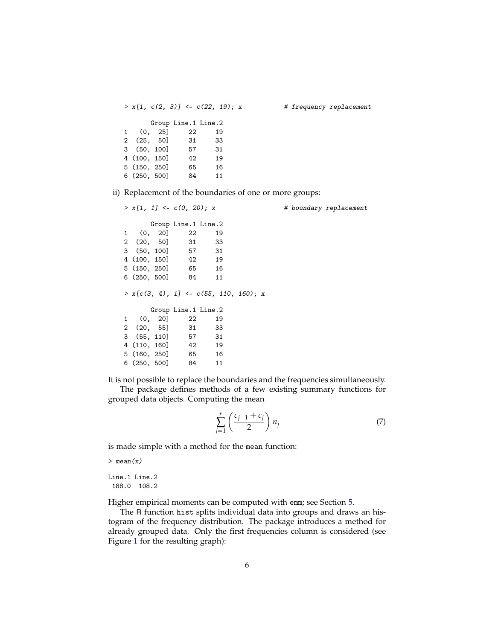$> x[1, c(2, 3)]$  <-  $c(22, 19)$ ; x # frequency replacement Group Line.1 Line.2 1 (0, 25] 22 19 2 (25, 50] 31 33 3 (50, 100] 57 31 4 (100, 150] 42 19 5 (150, 250] 65 16 6 (250, 500] 84 11

ii) Replacement of the boundaries of one or more groups:

 $> x[1, 1] < -c(0, 20); x$  # boundary replacement Group Line.1 Line.2 1 (0, 20] 22 19<br>2 (20. 50] 31 33 2 (20, 50] 31 33 3 (50, 100] 57 31 4 (100, 150) 42 5 (150, 250] 65 16 6 (250, 500] 84 11  $> x[c(3, 4), 1] < -c(55, 110, 160); x$ Group Line.1 Line.2 1 (0, 20] 22 19 2 (20, 55] 31 33 3 (55, 110] 57 31 4 (110, 160] 42 19 5 (160, 250] 65 16 6 (250, 500] 84 11

It is not possible to replace the boundaries and the frequencies simultaneously.

The package defines methods of a few existing summary functions for grouped data objects. Computing the mean

$$
\sum_{j=1}^{r} \left( \frac{c_{j-1} + c_j}{2} \right) n_j \tag{7}
$$

is made simple with a method for the mean function:

 $>$  mean $(x)$ 

Line.1 Line.2 188.0 108.2

Higher empirical moments can be computed with emm; see Section [5.](#page-8-0)

The R function hist splits individual data into groups and draws an histogram of the frequency distribution. The package introduces a method for already grouped data. Only the first frequencies column is considered (see Figure [1](#page-6-0) for the resulting graph):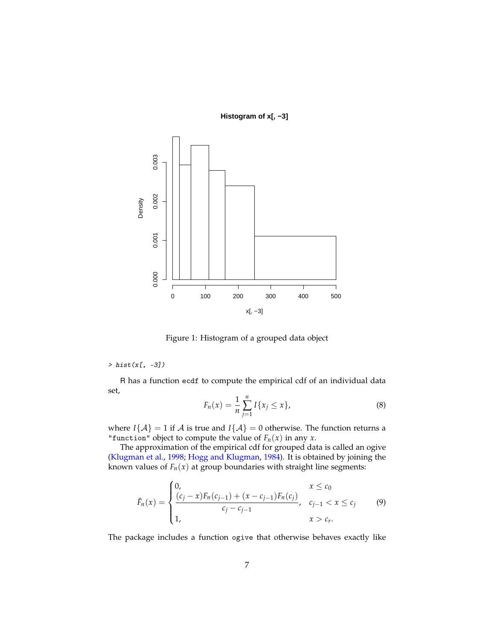**Histogram of x[, −3]**



<span id="page-6-0"></span>Figure 1: Histogram of a grouped data object

### $>$  hist(x[,  $-3$ ])

R has a function ecdf to compute the empirical cdf of an individual data set,

$$
F_n(x) = \frac{1}{n} \sum_{j=1}^n I\{x_j \le x\},\tag{8}
$$

where *I*{ $\mathcal{A}$ } = 1 if  $\mathcal{A}$  is true and *I*{ $\mathcal{A}$ } = 0 otherwise. The function returns a "function" object to compute the value of  $F_n(x)$  in any *x*.

The approximation of the empirical cdf for grouped data is called an ogive [\(Klugman et al.,](#page-14-7) [1998;](#page-14-7) [Hogg and Klugman,](#page-14-2) [1984\)](#page-14-2). It is obtained by joining the known values of  $F_n(x)$  at group boundaries with straight line segments:

$$
\tilde{F}_n(x) = \begin{cases}\n0, & x \leq c_0 \\
\frac{(c_j - x)F_n(c_{j-1}) + (x - c_{j-1})F_n(c_j)}{c_j - c_{j-1}}, & c_{j-1} < x \leq c_j \\
1, & x > c_r.\n\end{cases} \tag{9}
$$

The package includes a function ogive that otherwise behaves exactly like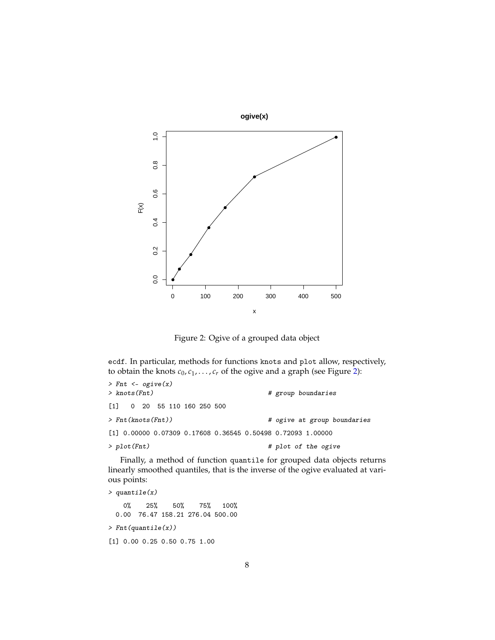

<span id="page-7-0"></span>Figure 2: Ogive of a grouped data object

ecdf. In particular, methods for functions knots and plot allow, respectively, to obtain the knots  $c_0, c_1, \ldots, c_r$  of the ogive and a graph (see Figure [2\)](#page-7-0):

| $>$ Fnt <- ogive(x)                                           |                             |
|---------------------------------------------------------------|-----------------------------|
| > knots(Fnt)                                                  | # group boundaries          |
| $\begin{bmatrix} 1 \end{bmatrix}$ 0 20 55 110 160 250 500     |                             |
| > Fnt(knots(Fnt))                                             | # ogive at group boundaries |
| $[1]$ 0.00000 0.07309 0.17608 0.36545 0.50498 0.72093 1.00000 |                             |
| $>$ plot(Fnt)                                                 | # plot of the ogive         |

Finally, a method of function quantile for grouped data objects returns linearly smoothed quantiles, that is the inverse of the ogive evaluated at various points:

```
> quantile(x)
   0% 25% 50% 75% 100%
 0.00 76.47 158.21 276.04 500.00
> Fnt(quantile(x))
[1] 0.00 0.25 0.50 0.75 1.00
```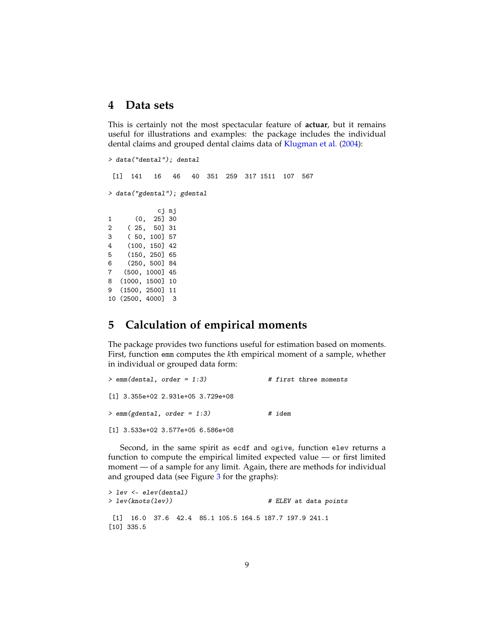### **4 Data sets**

This is certainly not the most spectacular feature of **actuar**, but it remains useful for illustrations and examples: the package includes the individual dental claims and grouped dental claims data of [Klugman et al.](#page-14-1) [\(2004\)](#page-14-1):

```
> data("dental"); dental
[1] 141 16 46 40 351 259 317 1511 107 567
> data("gdental"); gdental
           cj nj
1 (0, 25] 30
2 ( 25, 50] 31
3 ( 50, 100] 57
4 (100, 150] 42
5 (150, 250] 65
6 (250, 500] 84
7 (500, 1000] 45
8 (1000, 1500] 10
```
9 (1500, 2500] 11 10 (2500, 4000] 3

# <span id="page-8-0"></span>**5 Calculation of empirical moments**

The package provides two functions useful for estimation based on moments. First, function emm computes the *k*th empirical moment of a sample, whether in individual or grouped data form:

| $>$ emm(dental, order = 1:3)        |        | # first three moments |
|-------------------------------------|--------|-----------------------|
| $[1]$ 3.355e+02 2.931e+05 3.729e+08 |        |                       |
| $>$ emm(gdental, order = 1:3)       | # idem |                       |
| $[1]$ 3.533e+02 3.577e+05 6.586e+08 |        |                       |

Second, in the same spirit as ecdf and ogive, function elev returns a function to compute the empirical limited expected value — or first limited moment — of a sample for any limit. Again, there are methods for individual and grouped data (see Figure [3](#page-9-0) for the graphs):

```
> lev <- elev(dental)
> lev(knots(lev)) # ELEV at data points
[1] 16.0 37.6 42.4 85.1 105.5 164.5 187.7 197.9 241.1
[10] 335.5
```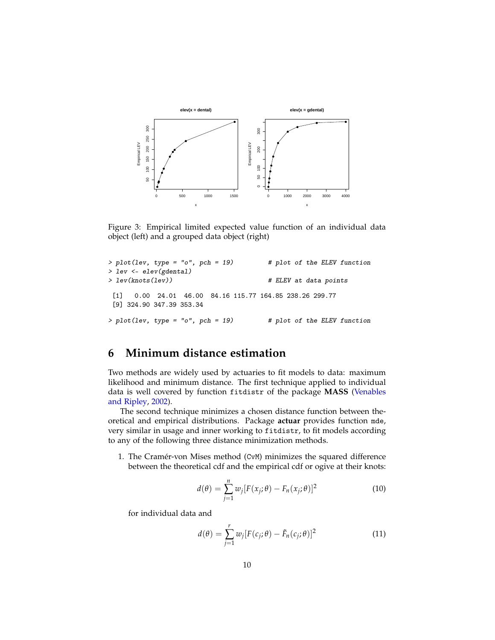

<span id="page-9-0"></span>Figure 3: Empirical limited expected value function of an individual data object (left) and a grouped data object (right)

```
> plot(lev, type = "o", pch = 19) # plot of the ELEV function
> lev <- elev(gdental)
> lev(knots(lev)) # ELEV at data points
 [1] 0.00 24.01 46.00 84.16 115.77 164.85 238.26 299.77
 [9] 324.90 347.39 353.34
> plot(lev, type = "o", pch = 19) # plot of the ELEV function
```
# **6 Minimum distance estimation**

Two methods are widely used by actuaries to fit models to data: maximum likelihood and minimum distance. The first technique applied to individual data is well covered by function fitdistr of the package **MASS** [\(Venables](#page-14-8) [and Ripley,](#page-14-8) [2002\)](#page-14-8).

The second technique minimizes a chosen distance function between theoretical and empirical distributions. Package **actuar** provides function mde, very similar in usage and inner working to fitdistr, to fit models according to any of the following three distance minimization methods.

1. The Cramér-von Mises method (CvM) minimizes the squared difference between the theoretical cdf and the empirical cdf or ogive at their knots:

$$
d(\theta) = \sum_{j=1}^{n} w_j [F(x_j; \theta) - F_n(x_j; \theta)]^2
$$
 (10)

for individual data and

$$
d(\theta) = \sum_{j=1}^{r} w_j [F(c_j; \theta) - \tilde{F}_n(c_j; \theta)]^2
$$
 (11)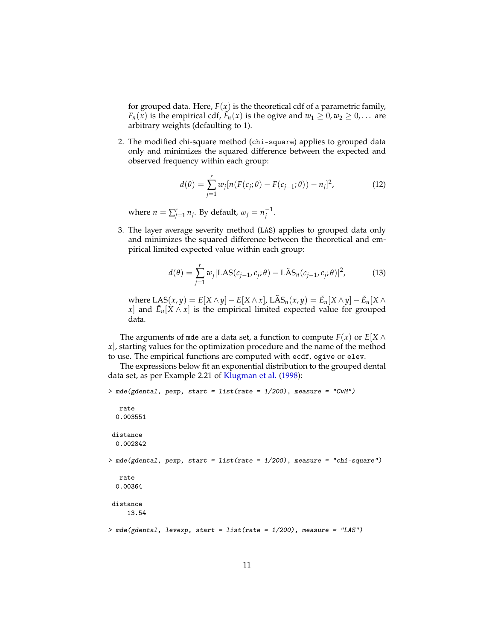for grouped data. Here,  $F(x)$  is the theoretical cdf of a parametric family,  $F_n(x)$  is the empirical cdf,  $\tilde{F}_n(x)$  is the ogive and  $w_1 \geq 0, w_2 \geq 0, \ldots$  are arbitrary weights (defaulting to 1).

2. The modified chi-square method (chi-square) applies to grouped data only and minimizes the squared difference between the expected and observed frequency within each group:

$$
d(\theta) = \sum_{j=1}^{r} w_j [n(F(c_j; \theta) - F(c_{j-1}; \theta)) - n_j]^2,
$$
 (12)

where  $n = \sum_{j=1}^r n_j$ . By default,  $w_j = n_j^{-1}$ .

3. The layer average severity method (LAS) applies to grouped data only and minimizes the squared difference between the theoretical and empirical limited expected value within each group:

$$
d(\theta) = \sum_{j=1}^{r} w_j [\text{LAS}(c_{j-1}, c_j; \theta) - \text{LAS}_n(c_{j-1}, c_j; \theta)]^2, \tag{13}
$$

where  $\text{LAS}(x, y) = E[X \wedge y] - E[X \wedge x]$ ,  $\text{LAS}_n(x, y) = \tilde{E}_n[X \wedge y] - \tilde{E}_n[X \wedge y]$ *x*] and  $\tilde{E}_n[X \wedge x]$  is the empirical limited expected value for grouped data.

The arguments of mde are a data set, a function to compute  $F(x)$  or  $E[X \wedge E]$ *x*], starting values for the optimization procedure and the name of the method to use. The empirical functions are computed with ecdf, ogive or elev.

The expressions below fit an exponential distribution to the grouped dental data set, as per Example 2.21 of [Klugman et al.](#page-14-7) [\(1998\)](#page-14-7):

```
> mde(gdental, pexp, start = list(rate = 1/200), measure = "CvM")
  rate
 0.003551
distance
 0.002842
> mde(gdental, pexp, start = list(rate = 1/200), measure = "chi-square")
  rate
 0.00364
distance
     13.54
> mde(gdental, levexp, start = list(rate = 1/200), measure = "LAS")
```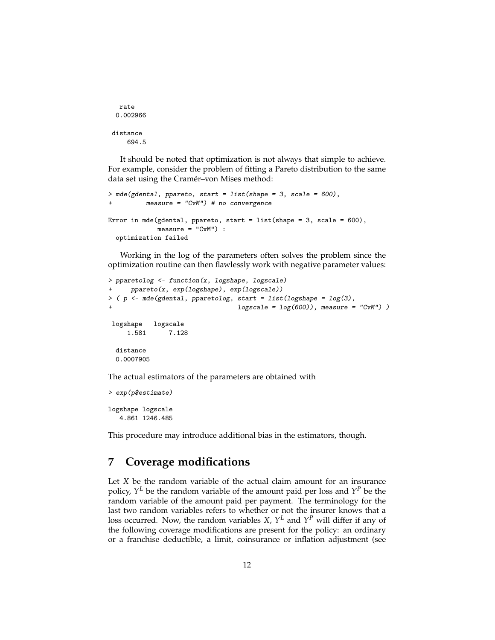```
rate
 0.002966
distance
    694.5
```
It should be noted that optimization is not always that simple to achieve. For example, consider the problem of fitting a Pareto distribution to the same data set using the Cramér–von Mises method:

```
> mde(gdental, ppareto, start = list(shape = 3, scale = 600),
          measure = "CvM") # no convergence
Error in mde(gdental, ppareto, start = list(shape = 3, scale = 600),
             measure = "CvM") :
  optimization failed
```
Working in the log of the parameters often solves the problem since the optimization routine can then flawlessly work with negative parameter values:

```
> pparetolog <- function(x, logshape, logscale)
     ppareto(x, exp(logshape), exp(logscale))
> ( p <- mde(gdental, pparetolog, start = list(logshape = log(3),
                                 logscale = log(600)), measure = "CvM") )
logshape logscale
    1.581 7.128
 distance
 0.0007905
```
The actual estimators of the parameters are obtained with

```
> exp(p$estimate)
logshape logscale
   4.861 1246.485
```
This procedure may introduce additional bias in the estimators, though.

# **7 Coverage modifications**

Let *X* be the random variable of the actual claim amount for an insurance policy, *Y <sup>L</sup>* be the random variable of the amount paid per loss and *Y <sup>P</sup>* be the random variable of the amount paid per payment. The terminology for the last two random variables refers to whether or not the insurer knows that a loss occurred. Now, the random variables *X*, *Y <sup>L</sup>* and *Y <sup>P</sup>* will differ if any of the following coverage modifications are present for the policy: an ordinary or a franchise deductible, a limit, coinsurance or inflation adjustment (see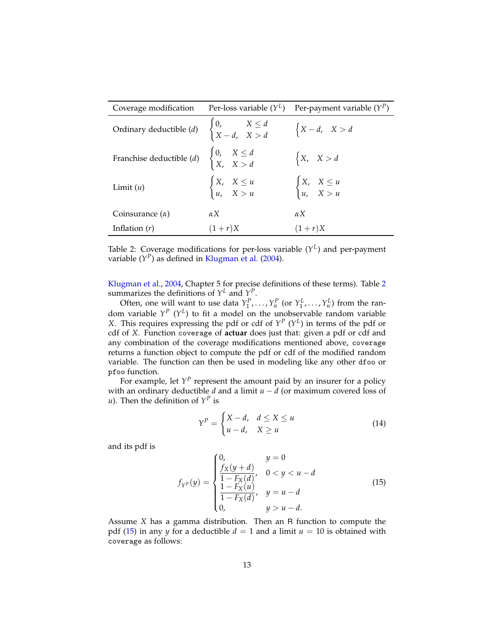| Coverage modification                                                                    | Per-loss variable $(Y^L)$                               | Per-payment variable $(Y^P)$                            |
|------------------------------------------------------------------------------------------|---------------------------------------------------------|---------------------------------------------------------|
| Ordinary deductible (d) $\begin{cases} 0, & X \le d \\ X - d, & X > d \end{cases}$       |                                                         | $\begin{cases} X - d, & X > d \end{cases}$              |
| Franchise deductible ( <i>d</i> ) $\begin{cases} 0, & X \le d \\ X, & X > d \end{cases}$ |                                                         | $\begin{cases} X, & X > d \end{cases}$                  |
| Limit $(u)$                                                                              | $\begin{cases} X, & X \leq u \\ u, & X > u \end{cases}$ | $\begin{cases} X, & X \leq u \\ u, & X > u \end{cases}$ |
| Coinsurance $(\alpha)$                                                                   | $\alpha X$                                              | $\alpha X$                                              |
| Inflation $(r)$                                                                          | $(1+r)X$                                                | $(1+r)X$                                                |

<span id="page-12-0"></span>Table 2: Coverage modifications for per-loss variable (*Y L* ) and per-payment variable (*Y<sup>P</sup>*) as defined in [Klugman et al.](#page-14-1) [\(2004\)](#page-14-1).

[Klugman et al.,](#page-14-1) [2004,](#page-14-1) Chapter 5 for precise definitions of these terms). Table [2](#page-12-0) summarizes the definitions of  $Y^L$  and  $Y^P$ .

Often, one will want to use data  $Y_1^P, \ldots, Y_n^P$  (or  $Y_1^L, \ldots, Y_n^L$ ) from the random variable *Y P* (*Y L* ) to fit a model on the unobservable random variable *X*. This requires expressing the pdf or cdf of  $Y^P$  ( $Y^L$ ) in terms of the pdf or cdf of *X*. Function coverage of **actuar** does just that: given a pdf or cdf and any combination of the coverage modifications mentioned above, coverage returns a function object to compute the pdf or cdf of the modified random variable. The function can then be used in modeling like any other dfoo or pfoo function.

For example, let  $Y^P$  represent the amount paid by an insurer for a policy with an ordinary deductible *d* and a limit *u* − *d* (or maximum covered loss of *u*). Then the definition of  $Y^P$  is

$$
Y^{P} = \begin{cases} X - d, & d \le X \le u \\ u - d, & X \ge u \end{cases}
$$
 (14)

and its pdf is

<span id="page-12-1"></span>
$$
f_{Y^{P}}(y) = \begin{cases} 0, & y = 0\\ \frac{f_{X}(y+d)}{1 - F_{X}(d)}, & 0 < y < u - d\\ \frac{1 - F_{X}(u)}{1 - F_{X}(d)}, & y = u - d\\ 0, & y > u - d. \end{cases}
$$
(15)

Assume *X* has a gamma distribution. Then an R function to compute the pdf [\(15\)](#page-12-1) in any *y* for a deductible  $d = 1$  and a limit  $u = 10$  is obtained with coverage as follows: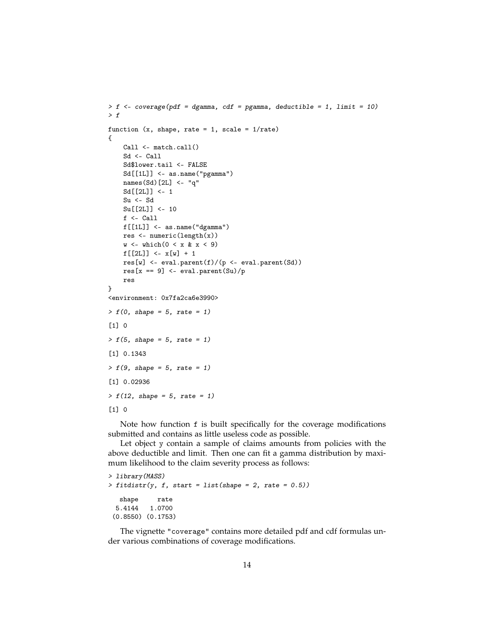```
> f <- coverage(pdf = dgamma, cdf = pgamma, deductible = 1, limit = 10)
> ffunction (x, shape, rate = 1, scale = 1/rate){
    Call <- match.call()
    Sd <- Call
    Sd$lower.tail <- FALSE
    Sd[[1L]] <- as.name("pgamma")
    names(Sd)[2L] <- "q"
    Sd[[2L]] <- 1
    Su <- Sd
    Su[[2L]] <- 10
    f <- Call
    f[[1L]] <- as.name("dgamma")
    res <- numeric(length(x))
    w \leftarrow \text{which} (0 \leftarrow x \& x \leftarrow 9)f([2L]] \leq x[w] + 1res[w] <- eval.parent(f)/(p <- eval.parent(Sd))
    res[x == 9] <- eval.parent(Su)/p
    res
}
<environment: 0x7fa2ca6e3990>
> f(0, shape = 5, rate = 1)[1] 0
> f(5, shape = 5, rate = 1)[1] 0.1343
> f(9, shape = 5, rate = 1)[1] 0.02936
> f(12, shape = 5, rate = 1)[1] 0
```
Note how function f is built specifically for the coverage modifications submitted and contains as little useless code as possible.

Let object y contain a sample of claims amounts from policies with the above deductible and limit. Then one can fit a gamma distribution by maximum likelihood to the claim severity process as follows:

```
> library(MASS)
> fittdistr(y, f, start = list(shape = 2, rate = 0.5))shape rate
  5.4144 1.0700
 (0.8550) (0.1753)
```
The vignette "coverage" contains more detailed pdf and cdf formulas under various combinations of coverage modifications.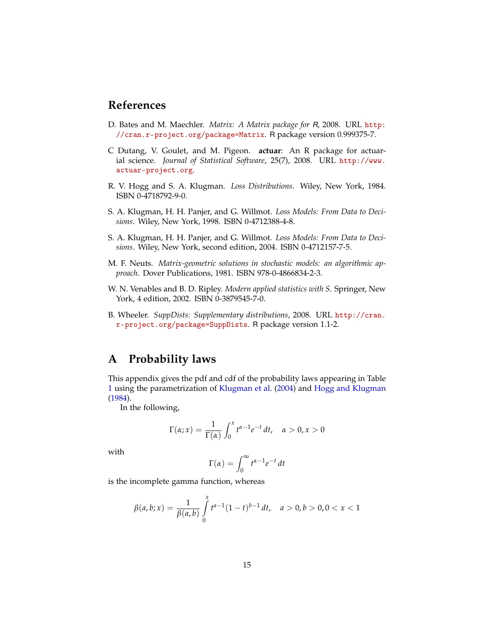# **References**

- <span id="page-14-6"></span>D. Bates and M. Maechler. *Matrix: A Matrix package for R*, 2008. URL [http:](http://cran.r-project.org/package=Matrix) [//cran.r-project.org/package=Matrix](http://cran.r-project.org/package=Matrix). R package version 0.999375-7.
- <span id="page-14-0"></span>C Dutang, V. Goulet, and M. Pigeon. **actuar**: An R package for actuarial science. *Journal of Statistical Software*, 25(7), 2008. URL [http://www.](http://www.actuar-project.org) [actuar-project.org](http://www.actuar-project.org).
- <span id="page-14-2"></span>R. V. Hogg and S. A. Klugman. *Loss Distributions*. Wiley, New York, 1984. ISBN 0-4718792-9-0.
- <span id="page-14-7"></span>S. A. Klugman, H. H. Panjer, and G. Willmot. *Loss Models: From Data to Decisions*. Wiley, New York, 1998. ISBN 0-4712388-4-8.
- <span id="page-14-1"></span>S. A. Klugman, H. H. Panjer, and G. Willmot. *Loss Models: From Data to Decisions*. Wiley, New York, second edition, 2004. ISBN 0-4712157-7-5.
- <span id="page-14-5"></span>M. F. Neuts. *Matrix-geometric solutions in stochastic models: an algorithmic approach*. Dover Publications, 1981. ISBN 978-0-4866834-2-3.
- <span id="page-14-8"></span>W. N. Venables and B. D. Ripley. *Modern applied statistics with S*. Springer, New York, 4 edition, 2002. ISBN 0-3879545-7-0.
- <span id="page-14-4"></span>B. Wheeler. *SuppDists: Supplementary distributions*, 2008. URL [http://cran.](http://cran.r-project.org/package=SuppDists) [r-project.org/package=SuppDists](http://cran.r-project.org/package=SuppDists). R package version 1.1-2.

# <span id="page-14-3"></span>**A Probability laws**

This appendix gives the pdf and cdf of the probability laws appearing in Table [1](#page-1-0) using the parametrization of [Klugman et al.](#page-14-1) [\(2004\)](#page-14-1) and [Hogg and Klugman](#page-14-2) [\(1984\)](#page-14-2).

In the following,

$$
\Gamma(\alpha; x) = \frac{1}{\Gamma(\alpha)} \int_0^x t^{\alpha - 1} e^{-t} dt, \quad \alpha > 0, x > 0
$$

with

$$
\Gamma(\alpha) = \int_0^\infty t^{\alpha - 1} e^{-t} dt
$$

is the incomplete gamma function, whereas

$$
\beta(a,b;x) = \frac{1}{\beta(a,b)} \int_{0}^{x} t^{a-1} (1-t)^{b-1} dt, \quad a > 0, b > 0, 0 < x < 1
$$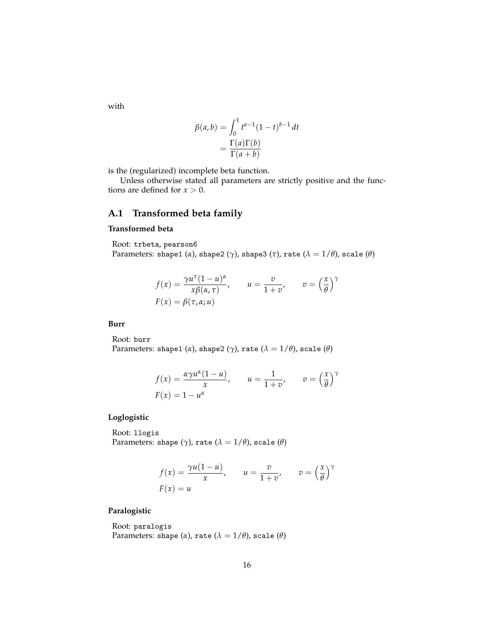with

$$
\beta(a,b) = \int_0^1 t^{a-1} (1-t)^{b-1} dt
$$

$$
= \frac{\Gamma(a)\Gamma(b)}{\Gamma(a+b)}
$$

is the (regularized) incomplete beta function.

Unless otherwise stated all parameters are strictly positive and the functions are defined for  $x > 0$ .

### **A.1 Transformed beta family**

#### **Transformed beta**

Root: trbeta, pearson6 Parameters: shape1 ( $\alpha$ ), shape2 ( $\gamma$ ), shape3 ( $\tau$ ), rate ( $\lambda = 1/\theta$ ), scale ( $\theta$ )

$$
f(x) = \frac{\gamma u^{\tau} (1 - u)^{\alpha}}{x \beta(\alpha, \tau)}, \qquad u = \frac{v}{1 + v}, \qquad v = \left(\frac{x}{\theta}\right)^{\gamma}
$$

$$
F(x) = \beta(\tau, \alpha; u)
$$

#### **Burr**

Root: burr

Parameters: shape1 ( $\alpha$ ), shape2 ( $\gamma$ ), rate ( $\lambda = 1/\theta$ ), scale ( $\theta$ )

$$
f(x) = \frac{\alpha \gamma u^{\alpha} (1 - u)}{x}, \qquad u = \frac{1}{1 + v}, \qquad v = \left(\frac{x}{\theta}\right)^{\gamma}
$$

$$
F(x) = 1 - u^{\alpha}
$$

#### **Loglogistic**

Root: llogis Parameters: shape  $(\gamma)$ , rate  $(\lambda = 1/\theta)$ , scale  $(\theta)$ 

$$
f(x) = \frac{\gamma u(1 - u)}{x}, \qquad u = \frac{v}{1 + v}, \qquad v = \left(\frac{x}{\theta}\right)^{\gamma}
$$

$$
F(x) = u
$$

#### **Paralogistic**

Root: paralogis Parameters: shape  $(\alpha)$ , rate  $(\lambda = 1/\theta)$ , scale  $(\theta)$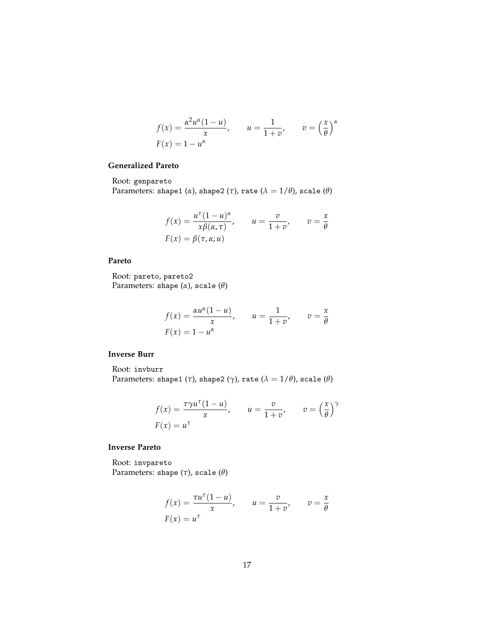$$
f(x) = \frac{\alpha^2 u^{\alpha} (1 - u)}{x}, \qquad u = \frac{1}{1 + v}, \qquad v = \left(\frac{x}{\theta}\right)^{\alpha}
$$

$$
F(x) = 1 - u^{\alpha}
$$

#### **Generalized Pareto**

Root: genpareto

Parameters: shape1 ( $\alpha$ ), shape2 ( $\tau$ ), rate ( $\lambda = 1/\theta$ ), scale ( $\theta$ )

$$
f(x) = \frac{u^{\tau}(1 - u)^{\alpha}}{x\beta(\alpha, \tau)}, \qquad u = \frac{v}{1 + v}, \qquad v = \frac{x}{\theta}
$$

$$
F(x) = \beta(\tau, \alpha; u)
$$

#### **Pareto**

Root: pareto, pareto2 Parameters: shape (*α*), scale (*θ*)

$$
f(x) = \frac{\alpha u^{\alpha}(1 - u)}{x}, \qquad u = \frac{1}{1 + v}, \qquad v = \frac{x}{\theta}
$$

$$
F(x) = 1 - u^{\alpha}
$$

#### **Inverse Burr**

Root: invburr Parameters: shape1 (*τ*), shape2 (*γ*), rate ( $\lambda = 1/\theta$ ), scale ( $\theta$ )

$$
f(x) = \frac{\tau \gamma u^{\tau} (1 - u)}{x}, \qquad u = \frac{v}{1 + v}, \qquad v = \left(\frac{x}{\theta}\right)^{\gamma}
$$

$$
F(x) = u^{\tau}
$$

#### **Inverse Pareto**

Root: invpareto Parameters: shape (*τ*), scale (*θ*)

$$
f(x) = \frac{\tau u^{\tau}(1 - u)}{x}, \qquad u = \frac{v}{1 + v}, \qquad v = \frac{x}{\theta}
$$

$$
F(x) = u^{\tau}
$$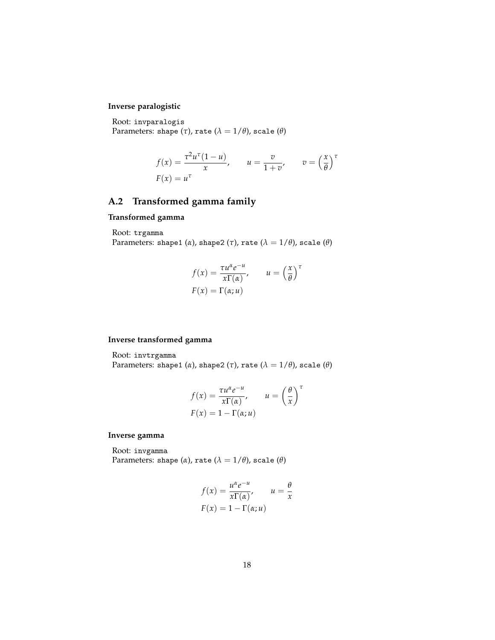### **Inverse paralogistic**

Root: invparalogis Parameters: shape  $(\tau)$ , rate  $(\lambda = 1/\theta)$ , scale  $(\theta)$ 

$$
f(x) = \frac{\tau^2 u^\tau (1 - u)}{x}, \qquad u = \frac{v}{1 + v}, \qquad v = \left(\frac{x}{\theta}\right)^\tau
$$

$$
F(x) = u^\tau
$$

# **A.2 Transformed gamma family**

#### **Transformed gamma**

Root: trgamma

Parameters: shape1 ( $\alpha$ ), shape2 ( $\tau$ ), rate ( $\lambda = 1/\theta$ ), scale ( $\theta$ )

$$
f(x) = \frac{\tau u^{\alpha} e^{-u}}{x \Gamma(\alpha)}, \qquad u = \left(\frac{x}{\theta}\right)^{\tau}
$$

$$
F(x) = \Gamma(\alpha; u)
$$

#### **Inverse transformed gamma**

Root: invtrgamma

Parameters: shape1 ( $\alpha$ ), shape2 ( $\tau$ ), rate ( $\lambda = 1/\theta$ ), scale ( $\theta$ )

$$
f(x) = \frac{\tau u^{\alpha} e^{-u}}{x \Gamma(\alpha)}, \qquad u = \left(\frac{\theta}{x}\right)^{\tau}
$$

$$
F(x) = 1 - \Gamma(\alpha; u)
$$

#### **Inverse gamma**

Root: invgamma Parameters: shape ( $\alpha$ ), rate ( $\lambda = 1/\theta$ ), scale ( $\theta$ )

$$
f(x) = \frac{u^{\alpha}e^{-u}}{x\Gamma(\alpha)}, \qquad u = \frac{\theta}{x}
$$

$$
F(x) = 1 - \Gamma(\alpha; u)
$$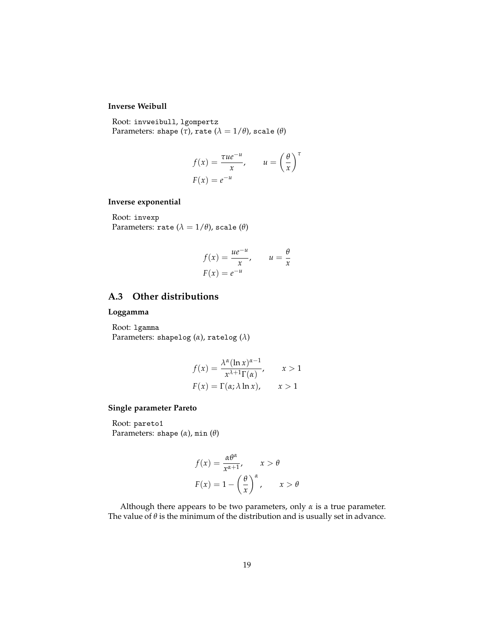### **Inverse Weibull**

Root: invweibull, lgompertz Parameters: shape  $(\tau)$ , rate  $(\lambda = 1/\theta)$ , scale  $(\theta)$ 

$$
f(x) = \frac{\tau u e^{-u}}{x}, \qquad u = \left(\frac{\theta}{x}\right)^{\tau}
$$

$$
F(x) = e^{-u}
$$

#### **Inverse exponential**

Root: invexp Parameters: rate  $(\lambda = 1/\theta)$ , scale  $(\theta)$ 

$$
f(x) = \frac{ue^{-u}}{x}, \qquad u = \frac{\theta}{x}
$$

$$
F(x) = e^{-u}
$$

### **A.3 Other distributions**

#### **Loggamma**

Root: lgamma Parameters: shapelog (*α*), ratelog (*λ*)

$$
f(x) = \frac{\lambda^{\alpha} (\ln x)^{\alpha - 1}}{x^{\lambda + 1} \Gamma(\alpha)}, \qquad x > 1
$$

$$
F(x) = \Gamma(\alpha; \lambda \ln x), \qquad x > 1
$$

### **Single parameter Pareto**

Root: pareto1 Parameters: shape (*α*), min (*θ*)

$$
f(x) = \frac{\alpha \theta^{\alpha}}{x^{\alpha+1}}, \quad x > \theta
$$

$$
F(x) = 1 - \left(\frac{\theta}{x}\right)^{\alpha}, \quad x > \theta
$$

Although there appears to be two parameters, only *α* is a true parameter. The value of  $\theta$  is the minimum of the distribution and is usually set in advance.